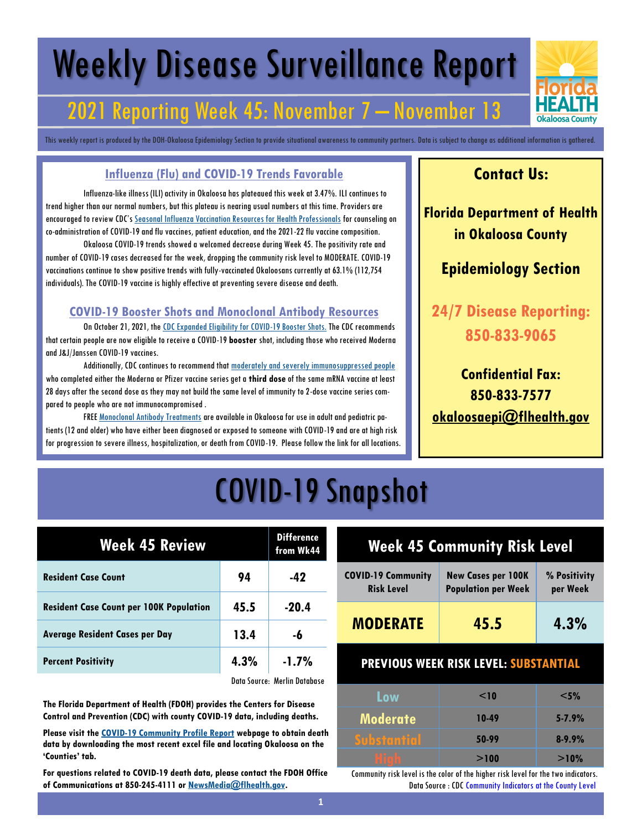# Weekly Disease Surveillance Report

## 2021 Reporting Week 45: November 7 – November 13

This weekly report is produced by the DOH-Okaloosa Epidemiology Section to provide situational awareness to community partners. Data is subject to change as additional information is gathered.

#### **Influenza (Flu) and COVID-19 Trends Favorable**

Influenza-like illness (ILI) activity in Okaloosa has plateaued this week at 3.47%. ILI continues to trend higher than our normal numbers, but this plateau is nearing usual numbers at this time. Providers are encouraged to review CDC's [Seasonal Influenza Vaccination Resources for Health Professionals](https://www.cdc.gov/flu/professionals/vaccination/index.htm) for counseling on co-administration of COVID-19 and flu vaccines, patient education, and the 2021-22 flu vaccine composition.

Okaloosa COVID-19 trends showed a welcomed decrease during Week 45. The positivity rate and number of COVID-19 cases decreased for the week, dropping the community risk level to MODERATE. COVID-19 vaccinations continue to show positive trends with fully-vaccinated Okaloosans currently at 63.1% (112,754 individuals). The COVID-19 vaccine is highly effective at preventing severe disease and death.

#### **COVID-19 Booster Shots and Monoclonal Antibody Resources**

On October 21, 2021, the [CDC Expanded Eligibility for COVID-19 Booster Shots.](https://www.cdc.gov/media/releases/2021/p1021-covid-booster.html) The CDC recommends that certain people are now eligible to receive a COVID-19 **booster** shot, including those who received Moderna and J&J/Janssen COVID-19 vaccines.

Additionally, CDC continues to recommend that [moderately and severely immunosuppressed people](https://www.cdc.gov/coronavirus/2019-ncov/vaccines/recommendations/immuno.html) who completed either the Moderna or Pfizer vaccine series get a **third dose** of the same mRNA vaccine at least 28 days after the second dose as they may not build the same level of immunity to 2-dose vaccine series compared to people who are not immunocompromised .

FREE [Monoclonal Antibody Treatments](https://floridahealthcovid19.gov/monoclonal-antibody-therapy/) are available in Okaloosa for use in adult and pediatric patients (12 and older) who have either been diagnosed or exposed to someone with COVID-19 and are at high risk for progression to severe illness, hospitalization, or death from COVID-19. Please follow the link for all locations.

### **Contact Us:**

**Florida Department of Health in Okaloosa County**

### **Epidemiology Section**

**24/7 Disease Reporting: 850-833-9065**

**Confidential Fax: 850-833-7577 [okaloosaepi@flhealth.gov](mailto:okaloosaepi@flhealth.gov)**

## COVID-19 Snapshot

| <b>Week 45 Review</b>                          |      | <b>Difference</b><br>from Wk44 |
|------------------------------------------------|------|--------------------------------|
| <b>Resident Case Count</b>                     | 94   | -42                            |
| <b>Resident Case Count per 100K Population</b> | 45.5 | $-20.4$                        |
| <b>Average Resident Cases per Day</b>          | 13.4 | -6                             |
| <b>Percent Positivity</b>                      | 4.3% | $-1.7%$                        |
|                                                |      | Data Composition Database      |

Data Source: Merlin Database

**The Florida Department of Health (FDOH) provides the Centers for Disease Control and Prevention (CDC) with county COVID-19 data, including deaths.** 

**Please visit the [COVID-19 Community Profile Report](https://healthdata.gov/Health/COVID-19-Community-Profile-Report/gqxm-d9w9) webpage to obtain death data by downloading the most recent excel file and locating Okaloosa on the 'Counties' tab.** 

**For questions related to COVID-19 death data, please contact the FDOH Office of Communications at 850-245-4111 or [NewsMedia@flhealth.gov.](mailto:NewsMedia@flhealth.gov)**

## **Week 45 Community Risk Level**

| <b>COVID-19 Community</b> | <b>New Cases per 100K</b>  | % Positivity |
|---------------------------|----------------------------|--------------|
| <b>Risk Level</b>         | <b>Population per Week</b> | per Week     |
| <b>MODERATE</b>           | 45.5                       | 4.3%         |

#### **PREVIOUS WEEK RISK LEVEL: SUBSTANTIAL**

| Low             | $\leq$ 10 | $<$ 5%     |
|-----------------|-----------|------------|
| <b>Moderate</b> | 10-49     | $5 - 7.9%$ |
| Substantial     | 50-99     | $8 - 9.9%$ |
| i<br>I<br>I     | >100      | >10%       |

Community risk level is the color of the higher risk level for the two indicators. Data Source : CDC Community Indicators at the County Level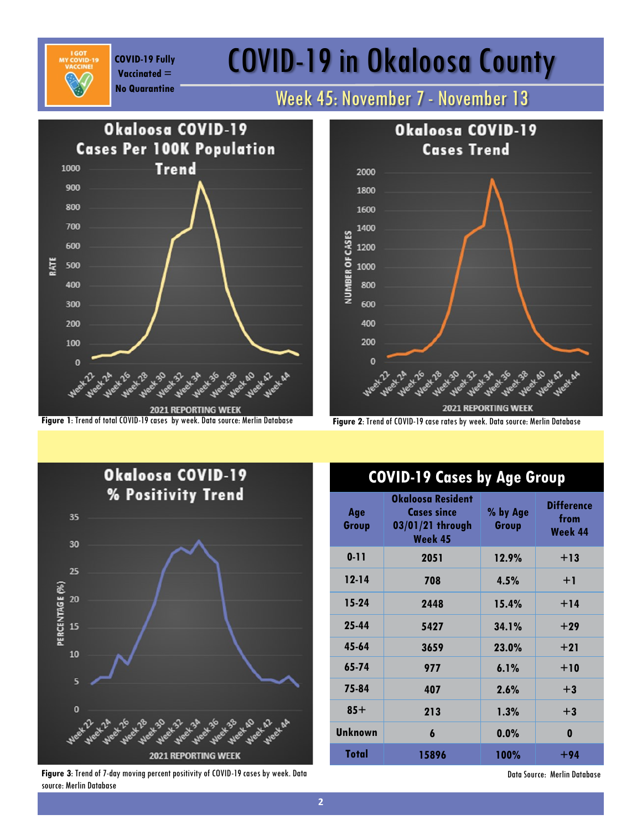**Vaccinated =** 

# COVID-19 Fully **COVID-19 in Okaloosa County**

## **No Quarantine** Week 45: November 7 - November 13







**Figure 3**: Trend of 7-day moving percent positivity of COVID-19 cases by week. Data source: Merlin Database

### **COVID-19 Cases by Age Group**

| Age<br>Group   | Okaloosa Resident<br><b>Cases since</b><br>03/01/21 through<br>Week 45 | % by Age<br>Group | <b>Difference</b><br>from<br>Week 44 |
|----------------|------------------------------------------------------------------------|-------------------|--------------------------------------|
| $0 - 11$       | 2051                                                                   | 12.9%             | $+13$                                |
| $12 - 14$      | 708                                                                    | 4.5%              | $+1$                                 |
| 15-24          | 2448                                                                   | 15.4%             | $+14$                                |
| 25-44          | 5427                                                                   | 34.1%             | $+29$                                |
| 45-64          | 3659                                                                   | 23.0%             | $+21$                                |
| 65-74          | 977                                                                    | 6.1%              | $+10$                                |
| 75-84          | 407                                                                    | 2.6%              | $+3$                                 |
| $85+$          | 213                                                                    | 1.3%              | $+3$                                 |
| <b>Unknown</b> | 6                                                                      | 0.0%              | 0                                    |
| Total          | 15896                                                                  | 100%              | +94                                  |

Data Source: Merlin Database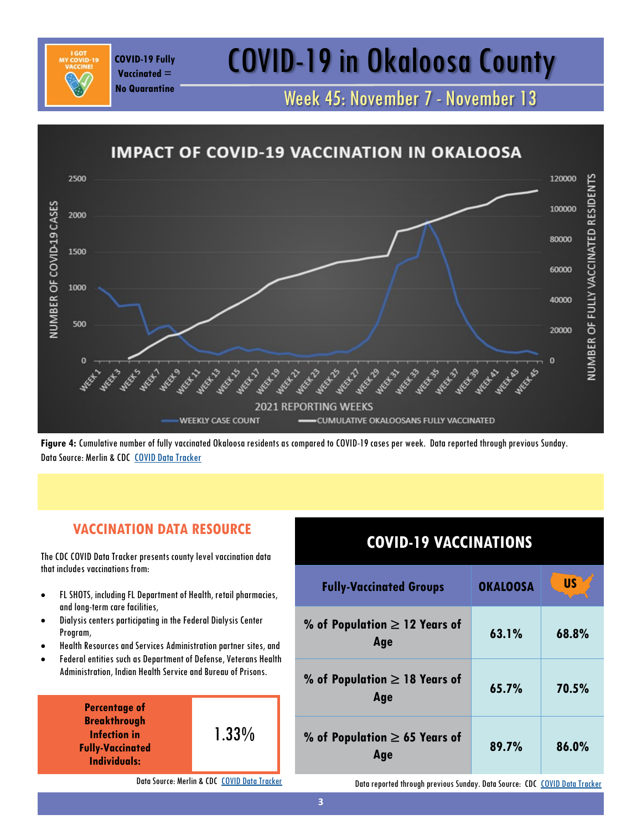# COVID-19 Fully **COVID-19 in Okaloosa County**

Week 45: November 7 - November 13

#### **IMPACT OF COVID-19 VACCINATION IN OKALOOSA** 2500 120000 NUMBER OF FULLY VACCINATED RESIDENT NUMBER OF COVID-19 CASES 100000 2000 80000 1500 60000 1000 40000 500 20000  $\mathbf{C}$  $\Omega$ **MEET BY 2021 REPORTING WEEKS WEEKLY CASE COUNT** CUMULATIVE OKALOOSANS FULLY VACCINATED

**Figure 4:** Cumulative number of fully vaccinated Okaloosa residents as compared to COVID-19 cases per week. Data reported through previous Sunday. Data Source: Merlin & CDC [COVID Data Tracker](https://covid.cdc.gov/covid-data-tracker/#vaccinations)

### **VACCINATION DATA RESOURCE**

The CDC COVID Data Tracker presents county level vaccination data that includes vaccinations from:

**Vaccinated = No Quarantine**

- FL SHOTS, including FL Department of Health, retail pharmacies, and long-term care facilities,
- Dialysis centers participating in the Federal Dialysis Center Program,
- Health Resources and Services Administration partner sites, and
- Federal entities such as Department of Defense, Veterans Health Administration, Indian Health Service and Bureau of Prisons.



Data Source: Merlin & CDC [COVID Data Tracker](https://covid.cdc.gov/covid-data-tracker/#vaccinations)

### **COVID-19 VACCINATIONS**

| <b>Fully-Vaccinated Groups</b>            | <b>OKALOOSA</b> | <b>US</b> |
|-------------------------------------------|-----------------|-----------|
| % of Population $\geq$ 12 Years of<br>Age | 63.1%           | 68.8%     |
| % of Population $\geq$ 18 Years of<br>Age | 65.7%           | 70.5%     |
| % of Population $\geq$ 65 Years of<br>Age | 89.7%           | 86.0%     |

Data reported through previous Sunday. Data Source: CDC [COVID Data Tracker](https://covid.cdc.gov/covid-data-tracker/#vaccinations)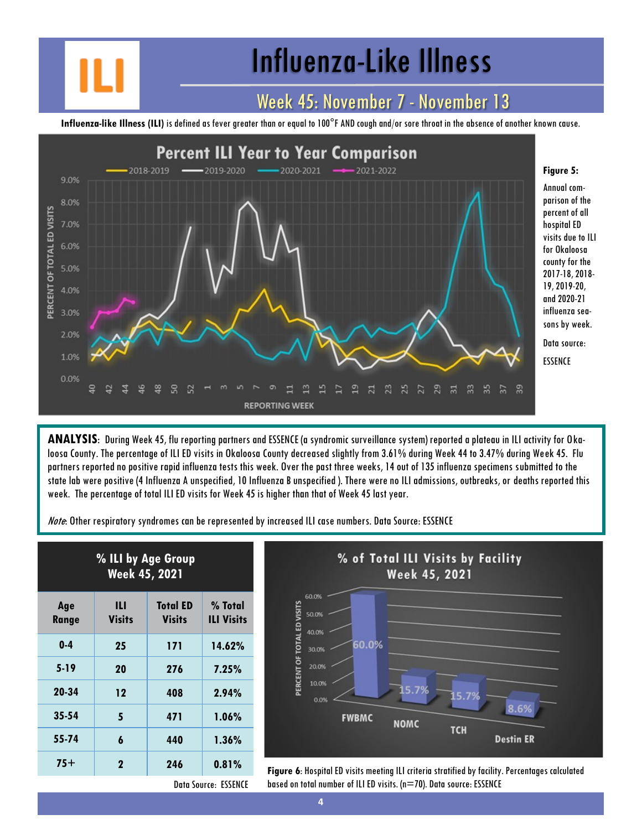# Influenza-Like Illness

### Week 45: November 7 - November 13

**Influenza-like Illness (ILI)** is defined as fever greater than or equal to 100°F AND cough and/or sore throat in the absence of another known cause.



**ANALYSIS**: During Week 45, flu reporting partners and ESSENCE (a syndromic surveillance system) reported a plateau in ILI activity for Okaloosa County. The percentage of ILI ED visits in Okaloosa County decreased slightly from 3.61% during Week 44 to 3.47% during Week 45. Flu partners reported no positive rapid influenza tests this week. Over the past three weeks, 14 out of 135 influenza specimens submitted to the state lab were positive (4 Influenza A unspecified, 10 Influenza B unspecified ). There were no ILI admissions, outbreaks, or deaths reported this week. The percentage of total ILI ED visits for Week 45 is higher than that of Week 45 last year.

Note: Other respiratory syndromes can be represented by increased ILI case numbers. Data Source: ESSENCE

| % ILI by Age Group<br><b>Week 45, 2021</b> |                    |                                  |                              |
|--------------------------------------------|--------------------|----------------------------------|------------------------------|
| Age<br>Range                               | Ш<br><b>Visits</b> | <b>Total ED</b><br><b>Visits</b> | % Total<br><b>ILI Visits</b> |
| $0 - 4$                                    | 25                 | 171                              | 14.62%                       |
| $5-19$                                     | 20                 | 276                              | 7.25%                        |
| 20-34                                      | 12                 | 408                              | 2.94%                        |
| $35 - 54$                                  | 5                  | 471                              | 1.06%                        |
| 55-74                                      | 6                  | 440                              | $1.36\%$                     |
| 75+                                        | $\mathbf 2$        | 246                              | 0.81%                        |



**75+ <sup>2</sup> <sup>246</sup> 0.81% Figure 6**: Hospital ED visits meeting ILI criteria stratified by facility. Percentages calculated based on total number of ILI ED visits. (n=70). Data source: ESSENCE

Data Source: ESSENCE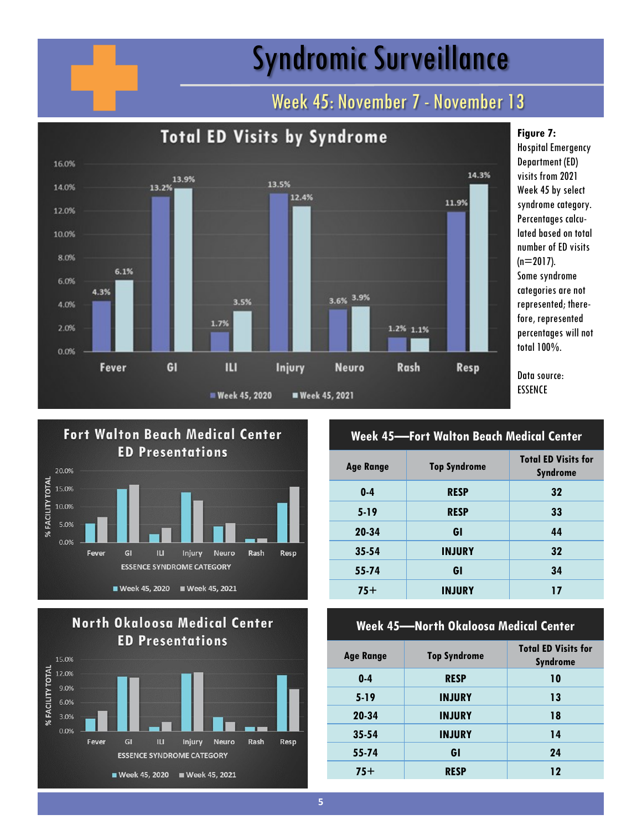# Syndromic Surveillance

## Week 45: November 7 - November 13









### **Week 45—Fort Walton Beach Medical Center**

| <b>Age Range</b> | <b>Top Syndrome</b> | <b>Total ED Visits for</b><br><b>Syndrome</b> |
|------------------|---------------------|-----------------------------------------------|
| $0-4$            | <b>RESP</b>         | 32                                            |
| $5-19$           | <b>RESP</b>         | 33                                            |
| 20-34            | GI                  | 44                                            |
| $35 - 54$        | <b>INJURY</b>       | 32                                            |
| 55-74            | GI                  | 34                                            |
| $75+$            | <b>INJURY</b>       | 17                                            |

#### **Week 45—North Okaloosa Medical Center**

| Age Range | <b>Top Syndrome</b> | <b>Total ED Visits for</b><br><b>Syndrome</b> |
|-----------|---------------------|-----------------------------------------------|
| $0 - 4$   | <b>RESP</b>         | 10                                            |
| $5-19$    | <b>INJURY</b>       | 13                                            |
| 20-34     | <b>INJURY</b>       | 18                                            |
| $35 - 54$ | <b>INJURY</b>       | 14                                            |
| 55-74     | GI                  | 24                                            |
| $75+$     | <b>RESP</b>         | 12                                            |